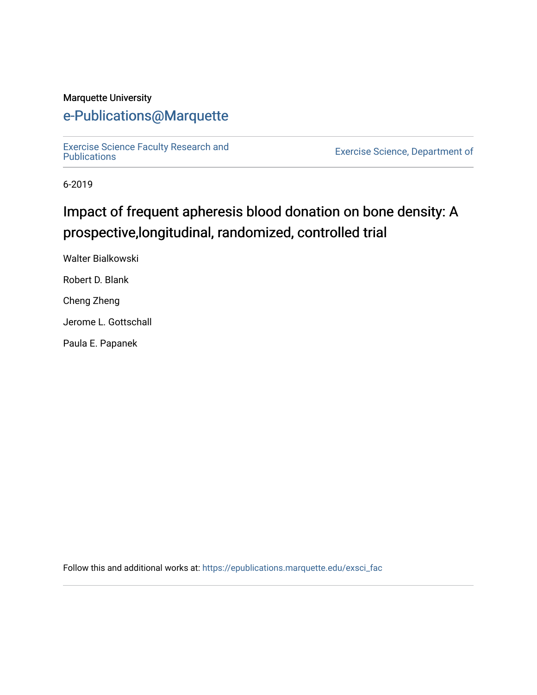# Marquette University

# [e-Publications@Marquette](https://epublications.marquette.edu/)

[Exercise Science Faculty Research and](https://epublications.marquette.edu/exsci_fac)

Exercise Science, Department of

6-2019

# Impact of frequent apheresis blood donation on bone density: A prospective,longitudinal, randomized, controlled trial

Walter Bialkowski Robert D. Blank

Cheng Zheng

Jerome L. Gottschall

Paula E. Papanek

Follow this and additional works at: [https://epublications.marquette.edu/exsci\\_fac](https://epublications.marquette.edu/exsci_fac?utm_source=epublications.marquette.edu%2Fexsci_fac%2F156&utm_medium=PDF&utm_campaign=PDFCoverPages)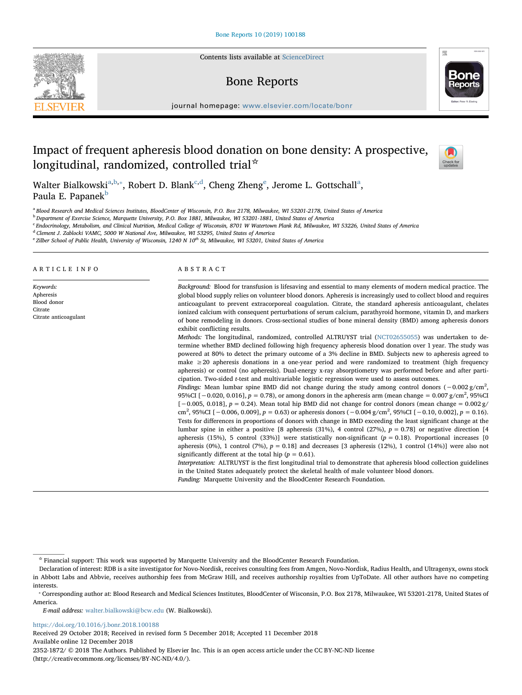Contents lists available at [ScienceDirect](http://www.sciencedirect.com/science/journal/23521872)

# Bone Reports



journal homepage: [www.elsevier.com/locate/bonr](https://www.elsevier.com/locate/bonr)

# Impact of frequent apheresis blood donation on bone density: A prospective, longitudinal, randomized, controlled trial<sup>☆</sup>



W[a](#page-1-0)lt[e](#page-1-5)r Bialkowski $a,b,*$  $a,b,*$  $a,b,*$ , Robert D. Blank $c, d$  $c, d$  $c, d$ , Cheng Zheng $e$ , Jerome L. Gottschall $^a$ , Paula E. Papanek<sup>[b](#page-1-1)</sup>

<span id="page-1-0"></span><sup>a</sup> Blood Research and Medical Sciences Institutes, BloodCenter of Wisconsin, P.O. Box 2178, Milwaukee, WI 53201-2178, United States of America

<span id="page-1-1"></span><sup>b</sup> Department of Exercise Science, Marquette University, P.O. Box 1881, Milwaukee, WI 53201-1881, United States of America

<span id="page-1-3"></span><sup>c</sup> Endocrinology, Metabolism, and Clinical Nutrition, Medical College of Wisconsin, 8701 W Watertown Plank Rd, Milwaukee, WI 53226, United States of America

<span id="page-1-4"></span><sup>d</sup> Clement J. Zablocki VAMC, 5000 W National Ave, Milwaukee, WI 53295, United States of America

<span id="page-1-5"></span> $e$  Zilber School of Public Health, University of Wisconsin, 1240 N  $10^{th}$  St, Milwaukee, WI 53201, United States of America

ARTICLE INFO

Keywords: Apheresis Blood donor Citrate Citrate anticoagulant

# ABSTRACT

Background: Blood for transfusion is lifesaving and essential to many elements of modern medical practice. The global blood supply relies on volunteer blood donors. Apheresis is increasingly used to collect blood and requires anticoagulant to prevent extracorporeal coagulation. Citrate, the standard apheresis anticoagulant, chelates ionized calcium with consequent perturbations of serum calcium, parathyroid hormone, vitamin D, and markers of bone remodeling in donors. Cross-sectional studies of bone mineral density (BMD) among apheresis donors exhibit conflicting results.

Methods: The longitudinal, randomized, controlled ALTRUYST trial [\(NCT02655055\)](http://clinicaltrials.gov/show/NCT02655055) was undertaken to determine whether BMD declined following high frequency apheresis blood donation over 1 year. The study was powered at 80% to detect the primary outcome of a 3% decline in BMD. Subjects new to apheresis agreed to make ≥20 apheresis donations in a one-year period and were randomized to treatment (high frequency apheresis) or control (no apheresis). Dual-energy x-ray absorptiometry was performed before and after participation. Two-sided t-test and multivariable logistic regression were used to assess outcomes.

Findings: Mean lumbar spine BMD did not change during the study among control donors (-0.002 g/cm<sup>2</sup>, 95%CI [ $-0.020$ , 0.016],  $p = 0.78$ ), or among donors in the apheresis arm (mean change = 0.007 g/cm<sup>2</sup>, 95%CI [−0.005, 0.018], p = 0.24). Mean total hip BMD did not change for control donors (mean change = 0.002 g/ cm<sup>2</sup>, 95%CI [ - 0.006, 0.009],  $p = 0.63$ ) or apheresis donors ( - 0.004 g/cm<sup>2</sup>, 95%CI [ - 0.10, 0.002],  $p = 0.16$ ). Tests for differences in proportions of donors with change in BMD exceeding the least significant change at the lumbar spine in either a positive [8 apheresis (31%), 4 control (27%),  $p = 0.78$ ] or negative direction [4 apheresis (15%), 5 control (33%)] were statistically non-significant ( $p = 0.18$ ). Proportional increases [0 apheresis (0%), 1 control (7%),  $p = 0.18$ ] and decreases [3 apheresis (12%), 1 control (14%)] were also not significantly different at the total hip ( $p = 0.61$ ).

Interpretation: ALTRUYST is the first longitudinal trial to demonstrate that apheresis blood collection guidelines in the United States adequately protect the skeletal health of male volunteer blood donors.

Funding: Marquette University and the BloodCenter Research Foundation.

E-mail address: [walter.bialkowski@bcw.edu](mailto:walter.bialkowski@bcw.edu) (W. Bialkowski).

<https://doi.org/10.1016/j.bonr.2018.100188>

Received 29 October 2018; Received in revised form 5 December 2018; Accepted 11 December 2018 Available online 12 December 2018

2352-1872/ © 2018 The Authors. Published by Elsevier Inc. This is an open access article under the CC BY-NC-ND license (http://creativecommons.org/licenses/BY-NC-ND/4.0/).

<sup>☆</sup> Financial support: This work was supported by Marquette University and the BloodCenter Research Foundation.

Declaration of interest: RDB is a site investigator for Novo-Nordisk, receives consulting fees from Amgen, Novo-Nordisk, Radius Health, and Ultragenyx, owns stock in Abbott Labs and Abbvie, receives authorship fees from McGraw Hill, and receives authorship royalties from UpToDate. All other authors have no competing interests.

<span id="page-1-2"></span><sup>⁎</sup> Corresponding author at: Blood Research and Medical Sciences Institutes, BloodCenter of Wisconsin, P.O. Box 2178, Milwaukee, WI 53201-2178, United States of America.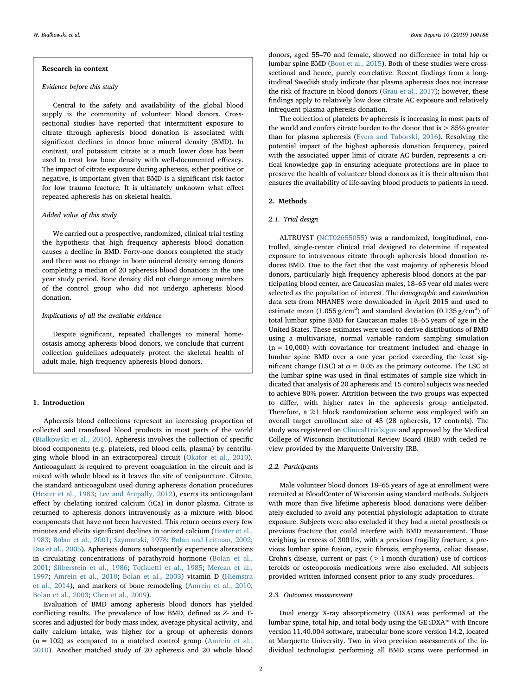# Research in context

# Evidence before this study

Central to the safety and availability of the global blood supply is the community of volunteer blood donors. Crosssectional studies have reported that intermittent exposure to citrate through apheresis blood donation is associated with significant declines in donor bone mineral density (BMD). In contrast, oral potassium citrate at a much lower dose has been used to treat low bone density with well-documented efficacy. The impact of citrate exposure during apheresis, either positive or negative, is important given that BMD is a significant risk factor for low trauma fracture. It is ultimately unknown what effect repeated apheresis has on skeletal health.

## Added value of this study

We carried out a prospective, randomized, clinical trial testing the hypothesis that high frequency apheresis blood donation causes a decline in BMD. Forty-one donors completed the study and there was no change in bone mineral density among donors completing a median of 20 apheresis blood donations in the one year study period. Bone density did not change among members of the control group who did not undergo apheresis blood donation.

# Implications of all the available evidence

Despite significant, repeated challenges to mineral homeostasis among apheresis blood donors, we conclude that current collection guidelines adequately protect the skeletal health of adult male, high frequency apheresis blood donors.

# 1. Introduction

Apheresis blood collections represent an increasing proportion of collected and transfused blood products in most parts of the world ([Bialkowski et al., 2016](#page-8-0)). Apheresis involves the collection of specific blood components (e.g. platelets, red blood cells, plasma) by centrifuging whole blood in an extracorporeal circuit ([Okafor et al., 2010](#page-8-1)). Anticoagulant is required to prevent coagulation in the circuit and is mixed with whole blood as it leaves the site of venipuncture. Citrate, the standard anticoagulant used during apheresis donation procedures ([Hester et al., 1983;](#page-8-2) [Lee and Arepally, 2012](#page-8-3)), exerts its anticoagulant effect by chelating ionized calcium (iCa) in donor plasma. Citrate is returned to apheresis donors intravenously as a mixture with blood components that have not been harvested. This return occurs every few minutes and elicits significant declines in ionized calcium [\(Hester et al.,](#page-8-2) [1983;](#page-8-2) [Bolan et al., 2001](#page-8-4); [Szymanski, 1978;](#page-8-5) [Bolan and Leitman, 2002](#page-8-6); [Das et al., 2005\)](#page-8-7). Apheresis donors subsequently experience alterations in circulating concentrations of parathyroid hormone ([Bolan et al.,](#page-8-4) [2001;](#page-8-4) [Silberstein et al., 1986;](#page-8-8) Toff[aletti et al., 1985](#page-8-9); [Mercan et al.,](#page-8-10) [1997;](#page-8-10) [Amrein et al., 2010](#page-8-11); [Bolan et al., 2003\)](#page-8-12) vitamin D ([Hiemstra](#page-8-13) [et al., 2014\)](#page-8-13), and markers of bone remodeling ([Amrein et al., 2010](#page-8-11); [Bolan et al., 2003](#page-8-12); [Chen et al., 2009](#page-8-14)).

Evaluation of BMD among apheresis blood donors has yielded conflicting results. The prevalence of low BMD, defined as Z- and Tscores and adjusted for body mass index, average physical activity, and daily calcium intake, was higher for a group of apheresis donors  $(n = 102)$  as compared to a matched control group [\(Amrein et al.,](#page-8-11) [2010\)](#page-8-11). Another matched study of 20 apheresis and 20 whole blood

donors, aged 55–70 and female, showed no difference in total hip or lumbar spine BMD [\(Boot et al., 2015\)](#page-8-15). Both of these studies were crosssectional and hence, purely correlative. Recent findings from a longitudinal Swedish study indicate that plasma apheresis does not increase the risk of fracture in blood donors ([Grau et al., 2017\)](#page-8-16); however, these findings apply to relatively low dose citrate AC exposure and relatively infrequent plasma apheresis donation.

The collection of platelets by apheresis is increasing in most parts of the world and confers citrate burden to the donor that is > 85% greater than for plasma apheresis ([Evers and Taborski, 2016](#page-8-17)). Resolving the potential impact of the highest apheresis donation frequency, paired with the associated upper limit of citrate AC burden, represents a critical knowledge gap in ensuring adequate protections are in place to preserve the health of volunteer blood donors as it is their altruism that ensures the availability of life-saving blood products to patients in need.

# 2. Methods

#### 2.1. Trial design

ALTRUYST ([NCT02655055\)](http://clinicaltrials.gov/show/NCT02655055) was a randomized, longitudinal, controlled, single-center clinical trial designed to determine if repeated exposure to intravenous citrate through apheresis blood donation reduces BMD. Due to the fact that the vast majority of apheresis blood donors, particularly high frequency apheresis blood donors at the participating blood center, are Caucasian males, 18–65 year old males were selected as the population of interest. The demographic and examination data sets from NHANES were downloaded in April 2015 and used to estimate mean (1.055  $g/cm<sup>2</sup>$ ) and standard deviation (0.135  $g/cm<sup>2</sup>$ ) of total lumbar spine BMD for Caucasian males 18–65 years of age in the United States. These estimates were used to derive distributions of BMD using a multivariate, normal variable random sampling simulation  $(n = 10,000)$  with covariance for treatment included and change in lumbar spine BMD over a one year period exceeding the least significant change (LSC) at  $\alpha$  = 0.05 as the primary outcome. The LSC at the lumbar spine was used in final estimates of sample size which indicated that analysis of 20 apheresis and 15 control subjects was needed to achieve 80% power. Attrition between the two groups was expected to differ, with higher rates in the apheresis group anticipated. Therefore, a 2:1 block randomization scheme was employed with an overall target enrollment size of 45 (28 apheresis, 17 controls). The study was registered on [ClinicalTrials.gov](http://ClinicalTrials.gov) and approved by the Medical College of Wisconsin Institutional Review Board (IRB) with ceded review provided by the Marquette University IRB.

# 2.2. Participants

Male volunteer blood donors 18–65 years of age at enrollment were recruited at BloodCenter of Wisconsin using standard methods. Subjects with more than five lifetime apheresis blood donations were deliberately excluded to avoid any potential physiologic adaptation to citrate exposure. Subjects were also excluded if they had a metal prosthesis or previous fracture that could interfere with BMD measurement. Those weighing in excess of 300 lbs, with a previous fragility fracture, a previous lumbar spine fusion, cystic fibrosis, emphysema, celiac disease, Crohn's disease, current or past  $($  > 1 month duration) use of corticosteroids or osteoporosis medications were also excluded. All subjects provided written informed consent prior to any study procedures.

# 2.3. Outcomes measurement

Dual energy X-ray absorptiometry (DXA) was performed at the lumbar spine, total hip, and total body using the GE iDXA™ with Encore version 11.40.004 software, trabecular bone score version 14.2, located at Marquette University. Two in vivo precision assessments of the individual technologist performing all BMD scans were performed in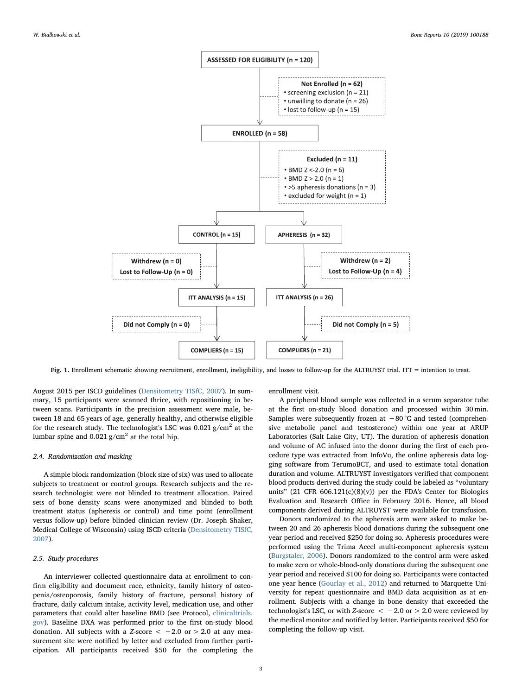<span id="page-3-0"></span>

Fig. 1. Enrollment schematic showing recruitment, enrollment, ineligibility, and losses to follow-up for the ALTRUYST trial. ITT = intention to treat.

August 2015 per ISCD guidelines ([Densitometry TISfC, 2007\)](#page-8-18). In summary, 15 participants were scanned thrice, with repositioning in between scans. Participants in the precision assessment were male, between 18 and 65 years of age, generally healthy, and otherwise eligible for the research study. The technologist's LSC was  $0.021$  g/cm<sup>2</sup> at the lumbar spine and  $0.021$  g/cm<sup>2</sup> at the total hip.

# 2.4. Randomization and masking

A simple block randomization (block size of six) was used to allocate subjects to treatment or control groups. Research subjects and the research technologist were not blinded to treatment allocation. Paired sets of bone density scans were anonymized and blinded to both treatment status (apheresis or control) and time point (enrollment versus follow-up) before blinded clinician review (Dr. Joseph Shaker, Medical College of Wisconsin) using ISCD criteria ([Densitometry TISfC,](#page-8-18) [2007\)](#page-8-18).

# 2.5. Study procedures

An interviewer collected questionnaire data at enrollment to confirm eligibility and document race, ethnicity, family history of osteopenia/osteoporosis, family history of fracture, personal history of fracture, daily calcium intake, activity level, medication use, and other parameters that could alter baseline BMD (see Protocol, [clinicaltrials.](http://clinicaltrials.gov) [gov](http://clinicaltrials.gov)). Baseline DXA was performed prior to the first on-study blood donation. All subjects with a Z-score  $<-2.0$  or  $>2.0$  at any measurement site were notified by letter and excluded from further participation. All participants received \$50 for the completing the

enrollment visit.

A peripheral blood sample was collected in a serum separator tube at the first on-study blood donation and processed within 30 min. Samples were subsequently frozen at −80 °C and tested (comprehensive metabolic panel and testosterone) within one year at ARUP Laboratories (Salt Lake City, UT). The duration of apheresis donation and volume of AC infused into the donor during the first of each procedure type was extracted from InfoVu, the online apheresis data logging software from TerumoBCT, and used to estimate total donation duration and volume. ALTRUYST investigators verified that component blood products derived during the study could be labeled as "voluntary units" (21 CFR 606.121(c)(8)(v)) per the FDA's Center for Biologics Evaluation and Research Office in February 2016. Hence, all blood components derived during ALTRUYST were available for transfusion.

Donors randomized to the apheresis arm were asked to make between 20 and 26 apheresis blood donations during the subsequent one year period and received \$250 for doing so. Apheresis procedures were performed using the Trima Accel multi-component apheresis system ([Burgstaler, 2006\)](#page-8-19). Donors randomized to the control arm were asked to make zero or whole-blood-only donations during the subsequent one year period and received \$100 for doing so. Participants were contacted one year hence ([Gourlay et al., 2012\)](#page-8-20) and returned to Marquette University for repeat questionnaire and BMD data acquisition as at enrollment. Subjects with a change in bone density that exceeded the technologist's LSC, or with Z-score  $<-2.0$  or  $>2.0$  were reviewed by the medical monitor and notified by letter. Participants received \$50 for completing the follow-up visit.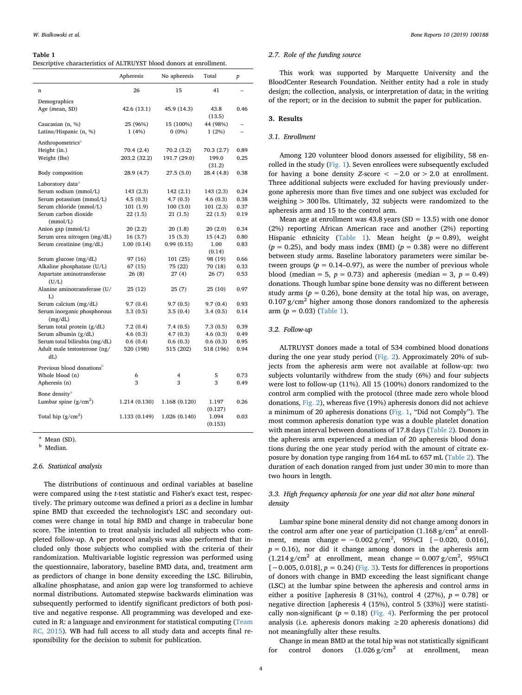#### <span id="page-4-0"></span>Table 1

Descriptive characteristics of ALTRUYST blood donors at enrollment.

|                                        | Apheresis     | No apheresis  | Total            | $\boldsymbol{p}$ |
|----------------------------------------|---------------|---------------|------------------|------------------|
| n                                      | 26            | 15            | 41               |                  |
| Demographics                           |               |               |                  |                  |
| Age (mean, SD)                         | 42.6 (13.1)   | 45.9 (14.3)   | 43.8<br>(13.5)   | 0.46             |
| Caucasian $(n, %)$                     | 25 (96%)      | 15 (100%)     | 44 (98%)         |                  |
| Latino/Hispanic (n, %)                 | 1(4%)         | $0(0\%)$      | 1(2%)            |                  |
| Anthropometrics <sup>a</sup>           |               |               |                  |                  |
| Height (in.)                           | 70.4 (2.4)    | 70.2 (3.2)    | 70.3 (2.7)       | 0.89             |
| Weight (lbs)                           | 203.2 (32.2)  | 191.7 (29.0)  | 199.0<br>(31.2)  | 0.25             |
| Body composition                       | 28.9 (4.7)    | 27.5(5.0)     | 28.4 (4.8)       | 0.38             |
| Laboratory data <sup>a</sup>           |               |               |                  |                  |
| Serum sodium (mmol/L)                  | 143 (2.3)     | 142(2.1)      | 143 (2.3)        | 0.24             |
| Serum potassium (mmol/L)               | 4.5(0.3)      | 4.7(0.3)      | 4.6(0.3)         | 0.38             |
| Serum chloride (mmol/L)                | 101 (1.9)     | 100 (3.0)     | 101 (2.3)        | 0.37             |
| Serum carbon dioxide<br>(mmol/L)       | 22(1.5)       | 21(1.5)       | 22(1.5)          | 0.19             |
| Anion gap (mmol/L)                     | 20(2.2)       | 20(1.8)       | 20(2.0)          | 0.34             |
| Serum urea nitrogen (mg/dL)            | 16 (3.7)      | 15(5.3)       | 15 (4.2)         | 0.80             |
| Serum creatinine (mg/dL)               | 1.00(0.14)    | 0.99(0.15)    | 1.00             | 0.83             |
|                                        |               |               | (0.14)           |                  |
| Serum glucose (mg/dL)                  | 97 (16)       | 101 (25)      | 98 (19)          | 0.66             |
| Alkaline phosphatase (U/L)             | 67 (15)       | 75 (22)       | 70 (18)          | 0.33             |
| Aspartate aminotransferase<br>(U/L)    | 26(8)         | 27(4)         | 26 (7)           | 0.53             |
| Alanine aminotransferase (U/<br>L)     | 25 (12)       | 25(7)         | 25(10)           | 0.97             |
| Serum calcium (mg/dL)                  | 9.7(0.4)      | 9.7(0.5)      | 9.7(0.4)         | 0.93             |
| Serum inorganic phosphorous<br>(mg/dL) | 3.3(0.5)      | 3.5(0.4)      | 3.4(0.5)         | 0.14             |
| Serum total protein (g/dL)             | 7.2(0.4)      | 7.4(0.5)      | 7.3(0.5)         | 0.39             |
| Serum albumin (g/dL)                   | 4.6(0.3)      | 4.7(0.3)      | 4.6(0.3)         | 0.49             |
| Serum total bilirubin (mg/dL)          | 0.6(0.4)      | 0.6(0.3)      | 0.6(0.3)         | 0.95             |
| Adult male testosterone (ng/<br>dL)    | 520 (198)     | 515 (202)     | 518 (196)        | 0.94             |
| Previous blood donations <sup>b</sup>  |               |               |                  |                  |
| Whole blood (n)                        | 6             | 4             | 5                | 0.73             |
| Apheresis (n)                          | 3             | 3             | 3                | 0.49             |
| Bone density <sup>a</sup>              |               |               |                  |                  |
| Lumbar spine $(g/cm^2)$                | 1.214 (0.130) | 1.168 (0.120) | 1.197<br>(0.127) | 0.26             |
| Total hip $(g/cm2)$                    | 1.133 (0.149) | 1.026 (0.140) | 1.094<br>(0.153) | 0.03             |

<span id="page-4-1"></span><sup>a</sup> Mean (SD).

<span id="page-4-2"></span>**b** Median.

#### 2.6. Statistical analysis

The distributions of continuous and ordinal variables at baseline were compared using the t-test statistic and Fisher's exact test, respectively. The primary outcome was defined a priori as a decline in lumbar spine BMD that exceeded the technologist's LSC and secondary outcomes were change in total hip BMD and change in trabecular bone score. The intention to treat analysis included all subjects who completed follow-up. A per protocol analysis was also performed that included only those subjects who complied with the criteria of their randomization. Multivariable logistic regression was performed using the questionnaire, laboratory, baseline BMD data, and, treatment arm as predictors of change in bone density exceeding the LSC. Bilirubin, alkaline phosphatase, and anion gap were log transformed to achieve normal distributions. Automated stepwise backwards elimination was subsequently performed to identify significant predictors of both positive and negative response. All programming was developed and executed in R: a language and environment for statistical computing [\(Team](#page-8-21) [RC, 2015](#page-8-21)). WB had full access to all study data and accepts final responsibility for the decision to submit for publication.

#### 2.7. Role of the funding source

This work was supported by Marquette University and the BloodCenter Research Foundation. Neither entity had a role in study design; the collection, analysis, or interpretation of data; in the writing of the report; or in the decision to submit the paper for publication.

### 3. Results

## 3.1. Enrollment

Among 120 volunteer blood donors assessed for eligibility, 58 en-rolled in the study ([Fig. 1](#page-3-0)). Seven enrollees were subsequently excluded for having a bone density Z-score  $<-2.0$  or  $>2.0$  at enrollment. Three additional subjects were excluded for having previously undergone apheresis more than five times and one subject was excluded for weighing > 300 lbs. Ultimately, 32 subjects were randomized to the apheresis arm and 15 to the control arm.

Mean age at enrollment was 43.8 years ( $SD = 13.5$ ) with one donor (2%) reporting African American race and another (2%) reporting Hispanic ethnicity [\(Table 1\)](#page-4-0). Mean height ( $p = 0.89$ ), weight  $(p = 0.25)$ , and body mass index (BMI)  $(p = 0.38)$  were no different between study arms. Baseline laboratory parameters were similar between groups ( $p = 0.14{\text{-}}0.97$ ), as were the number of previous whole blood (median = 5,  $p = 0.73$ ) and apheresis (median = 3,  $p = 0.49$ ) donations. Though lumbar spine bone density was no different between study arms ( $p = 0.26$ ), bone density at the total hip was, on average,  $0.107$  g/cm<sup>2</sup> higher among those donors randomized to the apheresis arm  $(p = 0.03)$  ([Table 1](#page-4-0)).

## 3.2. Follow-up

ALTRUYST donors made a total of 534 combined blood donations during the one year study period ([Fig. 2](#page-5-0)). Approximately 20% of subjects from the apheresis arm were not available at follow-up: two subjects voluntarily withdrew from the study (6%) and four subjects were lost to follow-up (11%). All 15 (100%) donors randomized to the control arm complied with the protocol (three made zero whole blood donations, [Fig. 2](#page-5-0)), whereas five (19%) apheresis donors did not achieve a minimum of 20 apheresis donations [\(Fig. 1,](#page-3-0) "Did not Comply"). The most common apheresis donation type was a double platelet donation with mean interval between donations of 17.8 days [\(Table 2](#page-5-1)). Donors in the apheresis arm experienced a median of 20 apheresis blood donations during the one year study period with the amount of citrate exposure by donation type ranging from 164 mL to 657 mL ([Table 2\)](#page-5-1). The duration of each donation ranged from just under 30 min to more than two hours in length.

# 3.3. High frequency apheresis for one year did not alter bone mineral density

Lumbar spine bone mineral density did not change among donors in the control arm after one year of participation  $(1.168 \text{ g/cm}^2$  at enrollment, mean change =  $-0.002 \text{ g/cm}^2$ , 95%CI [ $-0.020$ , 0.016],  $p = 0.16$ ), nor did it change among donors in the apheresis arm  $(1.214 \text{ g/cm}^2$  at enrollment, mean change =  $0.007 \text{ g/cm}^2$ , 95%Cl  $[-0.005, 0.018]$ ,  $p = 0.24$ ) ([Fig. 3](#page-6-0)). Tests for differences in proportions of donors with change in BMD exceeding the least significant change (LSC) at the lumbar spine between the apheresis and control arms in either a positive [apheresis 8 (31%), control 4 (27%),  $p = 0.78$ ] or negative direction [apheresis 4 (15%), control 5 (33%)] were statistically non-significant ( $p = 0.18$ ) ([Fig. 4](#page-6-1)). Performing the per protocol analysis (i.e. apheresis donors making  $\geq 20$  apheresis donations) did not meaningfully alter these results.

Change in mean BMD at the total hip was not statistically significant for control donors  $(1.026 \text{ g/cm}^2$  at enrollment, mean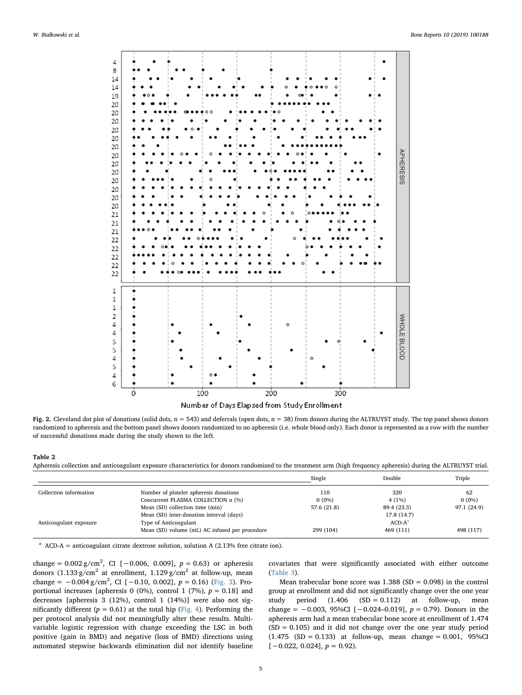<span id="page-5-0"></span>

Number of Days Elapsed from Study Enrollment

Fig. 2. Cleveland dot plot of donations (solid dots,  $n = 543$ ) and deferrals (open dots,  $n = 38$ ) from donors during the ALTRUYST study. The top panel shows donors randomized to apheresis and the bottom panel shows donors randomized to no apheresis (i.e. whole blood only). Each donor is represented as a row with the number of successful donations made during the study shown to the left.

<span id="page-5-1"></span>Table 2

Apheresis collection and anticoagulant exposure characteristics for donors randomized to the treatment arm (high frequency apheresis) during the ALTRUYST trial.

|                        |                                                | Single      | Double      | Triple      |
|------------------------|------------------------------------------------|-------------|-------------|-------------|
| Collection information | Number of platelet apheresis donations         | 110         | 320         | 62          |
|                        | Concurrent PLASMA COLLECTION n (%)             | $0(0\%)$    | 4(1%)       | $0(0\%)$    |
|                        | Mean (SD) collection time (min)                | 57.6 (21.8) | 89.4 (23.3) | 97.1 (24.9) |
|                        | Mean (SD) inter-donation interval (days)       |             | 17.8 (14.7) |             |
| Anticoagulant exposure | Type of Anticoagulant                          |             | $ACD-Aa$    |             |
|                        | Mean (SD) volume (mL) AC infused per procedure | 299 (104)   | 469 (111)   | 498 (117)   |

<span id="page-5-2"></span><sup>a</sup> ACD-A = anticoagulant citrate dextrose solution, solution A (2.13% free citrate ion).

change =  $0.002 \text{ g/cm}^2$ , CI [ - 0.006, 0.009],  $p = 0.63$ ) or apheresis donors  $(1.133 \text{ g/cm}^2$  at enrollment,  $1.129 \text{ g/cm}^2$  at follow-up, mean change =  $-0.004$  g/cm<sup>2</sup>, CI [ $-0.10$ , 0.002], p = 0.16) [\(Fig. 3](#page-6-0)). Proportional increases [apheresis 0 (0%), control 1 (7%),  $p = 0.18$ ] and decreases [apheresis 3 (12%), control 1 (14%)] were also not significantly different ( $p = 0.61$ ) at the total hip ([Fig. 4](#page-6-1)). Performing the per protocol analysis did not meaningfully alter these results. Multivariable logistic regression with change exceeding the LSC in both positive (gain in BMD) and negative (loss of BMD) directions using automated stepwise backwards elimination did not identify baseline

covariates that were significantly associated with either outcome ([Table 3](#page-7-0)).

Mean trabecular bone score was  $1.388$  (SD = 0.098) in the control group at enrollment and did not significantly change over the one year study period  $(1.406 \t(SD = 0.112)$  at follow-up, mean change =  $-0.003$ , 95%CI [ $-0.024-0.019$ ],  $p = 0.79$ ). Donors in the apheresis arm had a mean trabecular bone score at enrollment of 1.474  $(SD = 0.105)$  and it did not change over the one year study period  $(1.475 \text{ (SD} = 0.133)$  at follow-up, mean change = 0.001, 95%CI  $[-0.022, 0.024], p = 0.92$ .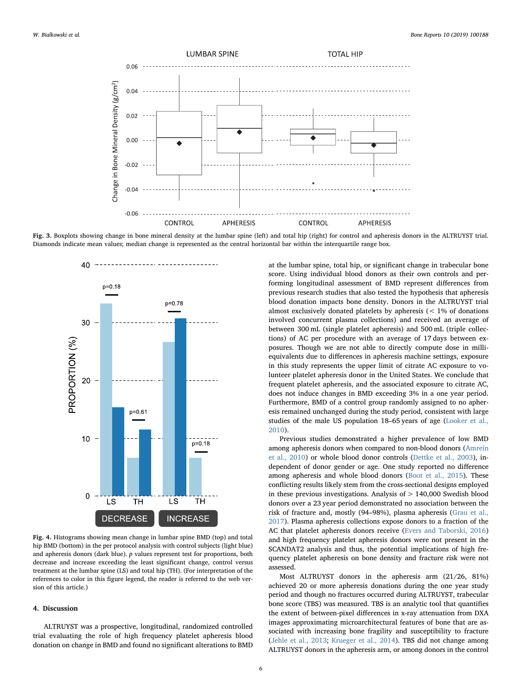<span id="page-6-0"></span>

<span id="page-6-1"></span>Fig. 3. Boxplots showing change in bone mineral density at the lumbar spine (left) and total hip (right) for control and apheresis donors in the ALTRUYST trial. Diamonds indicate mean values; median change is represented as the central horizontal bar within the interquartile range box.



Fig. 4. Histograms showing mean change in lumbar spine BMD (top) and total hip BMD (bottom) in the per protocol analysis with control subjects (light blue) and apheresis donors (dark blue). p values represent test for proportions, both decrease and increase exceeding the least significant change, control versus treatment at the lumbar spine (LS) and total hip (TH). (For interpretation of the references to color in this figure legend, the reader is referred to the web version of this article.)

#### 4. Discussion

ALTRUYST was a prospective, longitudinal, randomized controlled trial evaluating the role of high frequency platelet apheresis blood donation on change in BMD and found no significant alterations to BMD

at the lumbar spine, total hip, or significant change in trabecular bone score. Using individual blood donors as their own controls and performing longitudinal assessment of BMD represent differences from previous research studies that also tested the hypothesis that apheresis blood donation impacts bone density. Donors in the ALTRUYST trial almost exclusively donated platelets by apheresis (< 1% of donations involved concurrent plasma collections) and received an average of between 300 mL (single platelet apheresis) and 500 mL (triple collections) of AC per procedure with an average of 17 days between exposures. Though we are not able to directly compute dose in milliequivalents due to differences in apheresis machine settings, exposure in this study represents the upper limit of citrate AC exposure to volunteer platelet apheresis donor in the United States. We conclude that frequent platelet apheresis, and the associated exposure to citrate AC, does not induce changes in BMD exceeding 3% in a one year period. Furthermore, BMD of a control group randomly assigned to no apheresis remained unchanged during the study period, consistent with large studies of the male US population 18–65 years of age [\(Looker et al.,](#page-8-22) [2010\)](#page-8-22).

Previous studies demonstrated a higher prevalence of low BMD among apheresis donors when compared to non-blood donors ([Amrein](#page-8-11) [et al., 2010](#page-8-11)) or whole blood donor controls ([Dettke et al., 2003\)](#page-8-23), independent of donor gender or age. One study reported no difference among apheresis and whole blood donors [\(Boot et al., 2015](#page-8-15)). These conflicting results likely stem from the cross-sectional designs employed in these previous investigations. Analysis of  $> 140,000$  Swedish blood donors over a 23 year period demonstrated no association between the risk of fracture and, mostly (94–98%), plasma apheresis [\(Grau et al.,](#page-8-16) [2017\)](#page-8-16). Plasma apheresis collections expose donors to a fraction of the AC that platelet apheresis donors receive ([Evers and Taborski, 2016\)](#page-8-17) and high frequency platelet apheresis donors were not present in the SCANDAT2 analysis and thus, the potential implications of high frequency platelet apheresis on bone density and fracture risk were not assessed.

Most ALTRUYST donors in the apheresis arm (21/26, 81%) achieved 20 or more apheresis donations during the one year study period and though no fractures occurred during ALTRUYST, trabecular bone score (TBS) was measured. TBS is an analytic tool that quantifies the extent of between-pixel differences in x-ray attenuation from DXA images approximating microarchitectural features of bone that are associated with increasing bone fragility and susceptibility to fracture ([Jehle et al., 2013](#page-8-24); [Krueger et al., 2014](#page-8-25)). TBS did not change among ALTRUYST donors in the apheresis arm, or among donors in the control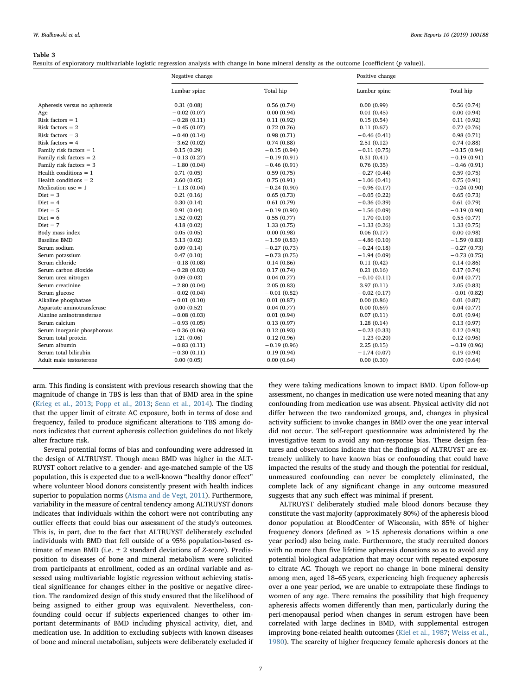#### <span id="page-7-0"></span>Table 3

Results of exploratory multivariable logistic regression analysis with change in bone mineral density as the outcome [coefficient (p value)].

|                               | Negative change |               | Positive change |               |
|-------------------------------|-----------------|---------------|-----------------|---------------|
|                               | Lumbar spine    | Total hip     | Lumbar spine    | Total hip     |
| Apheresis versus no apheresis | 0.31(0.08)      | 0.56(0.74)    | 0.00(0.99)      | 0.56(0.74)    |
| Age                           | $-0.02(0.07)$   | 0.00(0.94)    | 0.01(0.45)      | 0.00(0.94)    |
| Risk factors $= 1$            | $-0.28(0.11)$   | 0.11(0.92)    | 0.15(0.54)      | 0.11(0.92)    |
| Risk factors $= 2$            | $-0.45(0.07)$   | 0.72(0.76)    | 0.11(0.67)      | 0.72(0.76)    |
| Risk factors $=$ 3            | $-0.40(0.14)$   | 0.98(0.71)    | $-0.46(0.41)$   | 0.98(0.71)    |
| Risk factors $= 4$            | $-3.62(0.02)$   | 0.74(0.88)    | 2.51(0.12)      | 0.74(0.88)    |
| Family risk factors $= 1$     | 0.15(0.29)      | $-0.15(0.94)$ | $-0.11(0.75)$   | $-0.15(0.94)$ |
| Family risk factors $= 2$     | $-0.13(0.27)$   | $-0.19(0.91)$ | 0.31(0.41)      | $-0.19(0.91)$ |
| Family risk factors $=$ 3     | $-1.80(0.04)$   | $-0.46(0.91)$ | 0.76(0.35)      | $-0.46(0.91)$ |
| Health conditions $= 1$       | 0.71(0.05)      | 0.59(0.75)    | $-0.27(0.44)$   | 0.59(0.75)    |
| Health conditions $= 2$       | 2.60(0.05)      | 0.75(0.91)    | $-1.06(0.41)$   | 0.75(0.91)    |
| Medication use $= 1$          | $-1.13(0.04)$   | $-0.24(0.90)$ | $-0.96(0.17)$   | $-0.24(0.90)$ |
| $Dict = 3$                    | 0.21(0.16)      | 0.65(0.73)    | $-0.05(0.22)$   | 0.65(0.73)    |
| $Diet = 4$                    | 0.30(0.14)      | 0.61(0.79)    | $-0.36(0.39)$   | 0.61(0.79)    |
| $Dict = 5$                    | 0.91(0.04)      | $-0.19(0.90)$ | $-1.56(0.09)$   | $-0.19(0.90)$ |
| $Diet = 6$                    | 1.52(0.02)      | 0.55(0.77)    | $-1.70(0.10)$   | 0.55(0.77)    |
| $Dict = 7$                    | 4.18(0.02)      | 1.33(0.75)    | $-1.33(0.26)$   | 1.33(0.75)    |
| Body mass index               | 0.05(0.05)      | 0.00(0.98)    | 0.06(0.17)      | 0.00(0.98)    |
| <b>Baseline BMD</b>           | 5.13(0.02)      | $-1.59(0.83)$ | $-4.86(0.10)$   | $-1.59(0.83)$ |
| Serum sodium                  | 0.09(0.14)      | $-0.27(0.73)$ | $-0.24(0.18)$   | $-0.27(0.73)$ |
| Serum potassium               | 0.47(0.10)      | $-0.73(0.75)$ | $-1.94(0.09)$   | $-0.73(0.75)$ |
| Serum chloride                | $-0.18(0.08)$   | 0.14(0.86)    | 0.11(0.42)      | 0.14(0.86)    |
| Serum carbon dioxide          | $-0.28(0.03)$   | 0.17(0.74)    | 0.21(0.16)      | 0.17(0.74)    |
| Serum urea nitrogen           | 0.09(0.03)      | 0.04(0.77)    | $-0.10(0.11)$   | 0.04(0.77)    |
| Serum creatinine              | $-2.80(0.04)$   | 2.05(0.83)    | 3.97(0.11)      | 2.05(0.83)    |
| Serum glucose                 | $-0.02(0.04)$   | $-0.01(0.82)$ | $-0.02(0.17)$   | $-0.01(0.82)$ |
| Alkaline phosphatase          | $-0.01(0.10)$   | 0.01(0.87)    | 0.00(0.86)      | 0.01(0.87)    |
| Aspartate aminotransferase    | 0.00(0.52)      | 0.04(0.77)    | 0.00(0.69)      | 0.04(0.77)    |
| Alanine aminotransferase      | $-0.08(0.03)$   | 0.01(0.94)    | 0.07(0.11)      | 0.01(0.94)    |
| Serum calcium                 | $-0.93(0.05)$   | 0.13(0.97)    | 1.28(0.14)      | 0.13(0.97)    |
| Serum inorganic phosphorous   | $-0.36(0.06)$   | 0.12(0.93)    | $-0.23(0.33)$   | 0.12(0.93)    |
| Serum total protein           | 1.21(0.06)      | 0.12(0.96)    | $-1.23(0.20)$   | 0.12(0.96)    |
| Serum albumin                 | $-0.83(0.11)$   | $-0.19(0.96)$ | 2.25(0.15)      | $-0.19(0.96)$ |
| Serum total bilirubin         | $-0.30(0.11)$   | 0.19(0.94)    | $-1.74(0.07)$   | 0.19(0.94)    |
| Adult male testosterone       | 0.00(0.05)      | 0.00(0.64)    | 0.00(0.30)      | 0.00(0.64)    |

arm. This finding is consistent with previous research showing that the magnitude of change in TBS is less than that of BMD area in the spine ([Krieg et al., 2013;](#page-8-26) [Popp et al., 2013;](#page-8-27) [Senn et al., 2014\)](#page-8-28). The finding that the upper limit of citrate AC exposure, both in terms of dose and frequency, failed to produce significant alterations to TBS among donors indicates that current apheresis collection guidelines do not likely alter fracture risk.

Several potential forms of bias and confounding were addressed in the design of ALTRUYST. Though mean BMD was higher in the ALT-RUYST cohort relative to a gender- and age-matched sample of the US population, this is expected due to a well-known "healthy donor effect" where volunteer blood donors consistently present with health indices superior to population norms ([Atsma and de Vegt, 2011\)](#page-8-29). Furthermore, variability in the measure of central tendency among ALTRUYST donors indicates that individuals within the cohort were not contributing any outlier effects that could bias our assessment of the study's outcomes. This is, in part, due to the fact that ALTRUYST deliberately excluded individuals with BMD that fell outside of a 95% population-based estimate of mean BMD (i.e.  $\pm$  2 standard deviations of Z-score). Predisposition to diseases of bone and mineral metabolism were solicited from participants at enrollment, coded as an ordinal variable and assessed using multivariable logistic regression without achieving statistical significance for changes either in the positive or negative direction. The randomized design of this study ensured that the likelihood of being assigned to either group was equivalent. Nevertheless, confounding could occur if subjects experienced changes to other important determinants of BMD including physical activity, diet, and medication use. In addition to excluding subjects with known diseases of bone and mineral metabolism, subjects were deliberately excluded if they were taking medications known to impact BMD. Upon follow-up assessment, no changes in medication use were noted meaning that any confounding from medication use was absent. Physical activity did not differ between the two randomized groups, and, changes in physical activity sufficient to invoke changes in BMD over the one year interval did not occur. The self-report questionnaire was administered by the investigative team to avoid any non-response bias. These design features and observations indicate that the findings of ALTRUYST are extremely unlikely to have known bias or confounding that could have impacted the results of the study and though the potential for residual, unmeasured confounding can never be completely eliminated, the complete lack of any significant change in any outcome measured suggests that any such effect was minimal if present.

ALTRUYST deliberately studied male blood donors because they constitute the vast majority (approximately 80%) of the apheresis blood donor population at BloodCenter of Wisconsin, with 85% of higher frequency donors (defined as  $\geq$  15 apheresis donations within a one year period) also being male. Furthermore, the study recruited donors with no more than five lifetime apheresis donations so as to avoid any potential biological adaptation that may occur with repeated exposure to citrate AC. Though we report no change in bone mineral density among men, aged 18–65 years, experiencing high frequency apheresis over a one year period, we are unable to extrapolate these findings to women of any age. There remains the possibility that high frequency apheresis affects women differently than men, particularly during the peri-menopausal period when changes in serum estrogen have been correlated with large declines in BMD, with supplemental estrogen improving bone-related health outcomes [\(Kiel et al., 1987](#page-8-30); [Weiss et al.,](#page-8-31) [1980\)](#page-8-31). The scarcity of higher frequency female apheresis donors at the